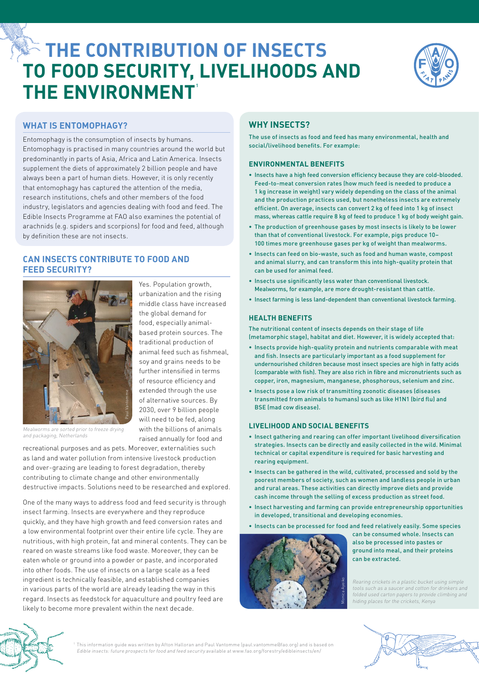# **EXECTE CONTRIBUTION OF INSECTS to food security, livelihoods and the environment 1**



# **What is entomophagy?**

Entomophagy is the consumption of insects by humans. Entomophagy is practised in many countries around the world but predominantly in parts of Asia, Africa and Latin America. Insects supplement the diets of approximately 2 billion people and have always been a part of human diets. However, it is only recently that entomophagy has captured the attention of the media, research institutions, chefs and other members of the food industry, legislators and agencies dealing with food and feed. The Edible Insects Programme at FAO also examines the potential of arachnids (e.g. spiders and scorpions) for food and feed, although by definition these are not insects.

# **Can insects contribute to food and feed security?**



Mealworms are sorted prior to freeze drying and packaging, Netherlands

urbanization and the rising middle class have increased the global demand for food, especially animalbased protein sources. The traditional production of animal feed such as fishmeal, soy and grains needs to be further intensified in terms of resource efficiency and extended through the use of alternative sources. By 2030, over 9 billion people will need to be fed, along with the billions of animals raised annually for food and

Yes. Population growth,

recreational purposes and as pets. Moreover, externalities such as land and water pollution from intensive livestock production and over-grazing are leading to forest degradation, thereby contributing to climate change and other environmentally destructive impacts. Solutions need to be researched and explored.

extramely the use of insects for a contribution of and for the billions of animal contract foresee dying with the billions of animals and as pest. Moreover, externalities such and the security of the distinct of and the se One of the many ways to address food and feed security is through insect farming. Insects are everywhere and they reproduce quickly, and they have high growth and feed conversion rates and a low environmental footprint over their entire life cycle. They are nutritious, with high protein, fat and mineral contents. They can be reared on waste streams like food waste. Moreover, they can be eaten whole or ground into a powder or paste, and incorporated into other foods. The use of insects on a large scale as a feed ingredient is technically feasible, and established companies in various parts of the world are already leading the way in this regard. Insects as feedstock for aquaculture and poultry feed are likely to become more prevalent within the next decade.

# **Why insects?**

The use of insects as food and feed has many environmental, health and social/livelihood benefits. For example:

## **Environmental benefits**

- • Insects have a high feed conversion efficiency because they are cold-blooded. Feed-to-meat conversion rates (how much feed is needed to produce a 1 kg increase in weight) vary widely depending on the class of the animal and the production practices used, but nonetheless insects are extremely efficient. On average, insects can convert 2 kg of feed into 1 kg of insect mass, whereas cattle require 8 kg of feed to produce 1 kg of body weight gain.
- The production of greenhouse gases by most insects is likely to be lower than that of conventional livestock. For example, pigs produce 10– 100 times more greenhouse gases per kg of weight than mealworms.
- • Insects can feed on bio-waste, such as food and human waste, compost and animal slurry, and can transform this into high-quality protein that can be used for animal feed.
- Insects use significantly less water than conventional livestock. Mealworms, for example, are more drought-resistant than cattle.
- Insect farming is less land-dependent than conventional livestock farming.

## **Health benefits**

The nutritional content of insects depends on their stage of life (metamorphic stage), habitat and diet. However, it is widely accepted that:

- • Insects provide high-quality protein and nutrients comparable with meat and fish. Insects are particularly important as a food supplement for undernourished children because most insect species are high in fatty acids (comparable with fish). They are also rich in fibre and micronutrients such as copper, iron, magnesium, manganese, phosphorous, selenium and zinc.
- Insects pose a low risk of transmitting zoonotic diseases (diseases transmitted from animals to humans) such as like H1N1 (bird flu) and BSE (mad cow disease).

## **Livelihood and social benefits**

- Insect gathering and rearing can offer important livelihood diversification strategies. Insects can be directly and easily collected in the wild. Minimal technical or capital expenditure is required for basic harvesting and rearing equipment.
- Insects can be gathered in the wild, cultivated, processed and sold by the poorest members of society, such as women and landless people in urban and rural areas. These activities can directly improve diets and provide cash income through the selling of excess production as street food.
- Insect harvesting and farming can provide entrepreneurship opportunities in developed, transitional and developing economies.
- Insects can be processed for food and feed relatively easily. Some species



can be consumed whole. Insects can also be processed into pastes or ground into meal, and their proteins can be extracted.

Rearing crickets in a plastic bucket using simple tools such as a saucer and cotton for drinkers and folded used carton papers to provide climbing and hiding places for the crickets, Kenya



<sup>1</sup> This information guide was written by Afton Halloran and Paul Vantomme ([paul.vantomme@fao.org](mailto:paul.vantomme%40fao.org?subject=)) and is based on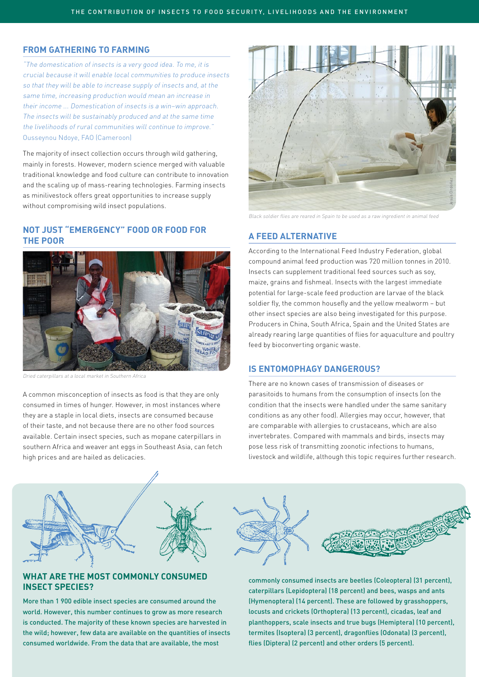## **From gathering to farming**

"The domestication of insects is a very good idea. To me, it is crucial because it will enable local communities to produce insects so that they will be able to increase supply of insects and, at the same time, increasing production would mean an increase in their income ... Domestication of insects is a win–win approach. The insects will be sustainably produced and at the same time the livelihoods of rural communities will continue to improve." Ousseynou Ndoye, FAO (Cameroon)

The majority of insect collection occurs through wild gathering, mainly in forests. However, modern science merged with valuable traditional knowledge and food culture can contribute to innovation and the scaling up of mass-rearing technologies. Farming insects as minilivestock offers great opportunities to increase supply without compromising wild insect populations.

## **Not just "emergency" food or food for the poor**



Dried caterpillars at a local market in Southern Africa

A common misconception of insects as food is that they are only consumed in times of hunger. However, in most instances where they are a staple in local diets, insects are consumed because of their taste, and not because there are no other food sources available. Certain insect species, such as mopane caterpillars in southern Africa and weaver ant eggs in Southeast Asia, can fetch high prices and are hailed as delicacies.



Black soldier flies are reared in Spain to be used as a raw ingredient in animal feed

## **A feed alternative**

According to the International Feed Industry Federation, global compound animal feed production was 720 million tonnes in 2010. Insects can supplement traditional feed sources such as soy, maize, grains and fishmeal. Insects with the largest immediate potential for large-scale feed production are larvae of the black soldier fly, the common housefly and the yellow mealworm – but other insect species are also being investigated for this purpose. Producers in China, South Africa, Spain and the United States are already rearing large quantities of flies for aquaculture and poultry feed by bioconverting organic waste.

## **Is entomophagy dangerous?**

There are no known cases of transmission of diseases or parasitoids to humans from the consumption of insects (on the condition that the insects were handled under the same sanitary conditions as any other food). Allergies may occur, however, that are comparable with allergies to crustaceans, which are also invertebrates. Compared with mammals and birds, insects may pose less risk of transmitting zoonotic infections to humans, livestock and wildlife, although this topic requires further research.



# **What are the most commonly consumed insect species?**

More than 1 900 edible insect species are consumed around the world. However, this number continues to grow as more research is conducted. The majority of these known species are harvested in the wild; however, few data are available on the quantities of insects consumed worldwide. From the data that are available, the most

commonly consumed insects are beetles (Coleoptera) (31 percent), caterpillars (Lepidoptera) (18 percent) and bees, wasps and ants (Hymenoptera) (14 percent). These are followed by grasshoppers, locusts and crickets (Orthoptera) (13 percent), cicadas, leaf and planthoppers, scale insects and true bugs (Hemiptera) (10 percent), termites (Isoptera) (3 percent), dragonflies (Odonata) (3 percent), flies (Diptera) (2 percent) and other orders (5 percent).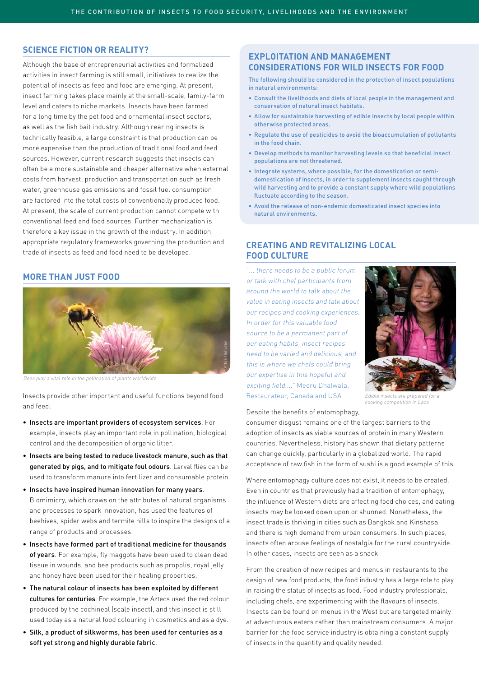# **Science fiction or reality?**

Although the base of entrepreneurial activities and formalized activities in insect farming is still small, initiatives to realize the potential of insects as feed and food are emerging. At present, insect farming takes place mainly at the small-scale, family-farm level and caters to niche markets. Insects have been farmed for a long time by the pet food and ornamental insect sectors, as well as the fish bait industry. Although rearing insects is technically feasible, a large constraint is that production can be more expensive than the production of traditional food and feed sources. However, current research suggests that insects can often be a more sustainable and cheaper alternative when external costs from harvest, production and transportation such as fresh water, greenhouse gas emissions and fossil fuel consumption are factored into the total costs of conventionally produced food. At present, the scale of current production cannot compete with conventional feed and food sources. Further mechanization is therefore a key issue in the growth of the industry. In addition, appropriate regulatory frameworks governing the production and trade of insects as feed and food need to be developed.

## **More than just food**



Bees play a vital role in the pollination of plants worldwide

Insects provide other important and useful functions beyond food and feed:

- • Insects are important providers of ecosystem services. For example, insects play an important role in pollination, biological control and the decomposition of organic litter.
- Insects are being tested to reduce livestock manure, such as that generated by pigs, and to mitigate foul odours. Larval flies can be used to transform manure into fertilizer and consumable protein.
- Insects have inspired human innovation for many years. Biomimicry, which draws on the attributes of natural organisms and processes to spark innovation, has used the features of beehives, spider webs and termite hills to inspire the designs of a range of products and processes.
- Insects have formed part of traditional medicine for thousands of years. For example, fly maggots have been used to clean dead tissue in wounds, and bee products such as propolis, royal jelly and honey have been used for their healing properties.
- The natural colour of insects has been exploited by different cultures for centuries. For example, the Aztecs used the red colour produced by the cochineal (scale insect), and this insect is still used today as a natural food colouring in cosmetics and as a dye.
- • Silk, a product of silkworms, has been used for centuries as a soft yet strong and highly durable fabric.

## **Exploitation and management considerations for wild insects for food**

The following should be considered in the protection of insect populations in natural environments:

- • Consult the livelihoods and diets of local people in the management and conservation of natural insect habitats.
- Allow for sustainable harvesting of edible insects by local people within otherwise protected areas.
- • Regulate the use of pesticides to avoid the bioaccumulation of pollutants in the food chain.
- • Develop methods to monitor harvesting levels so that beneficial insect populations are not threatened.
- Integrate systems, where possible, for the domestication or semidomestication of insects, in order to supplement insects caught through wild harvesting and to provide a constant supply where wild populations fluctuate according to the season.
- • Avoid the release of non-endemic domesticated insect species into natural environments.

# **Creating and revitalizing local FOOD CULTURE**

"... there needs to be a public forum or talk with chef participants from around the world to talk about the value in eating insects and talk about our recipes and cooking experiences. In order for this valuable food source to be a permanent part of our eating habits, insect recipes need to be varied and delicious, and this is where we chefs could bring our expertise in this hopeful and exciting field...." Meeru Dhalwala, Restaurateur, Canada and USA



Fdible insects are prepared f cooking competition in Laos

Despite the benefits of entomophagy,

consumer disgust remains one of the largest barriers to the adoption of insects as viable sources of protein in many Western countries. Nevertheless, history has shown that dietary patterns can change quickly, particularly in a globalized world. The rapid acceptance of raw fish in the form of sushi is a good example of this.

Where entomophagy culture does not exist, it needs to be created. Even in countries that previously had a tradition of entomophagy, the influence of Western diets are affecting food choices, and eating insects may be looked down upon or shunned. Nonetheless, the insect trade is thriving in cities such as Bangkok and Kinshasa, and there is high demand from urban consumers. In such places, insects often arouse feelings of nostalgia for the rural countryside. In other cases, insects are seen as a snack.

From the creation of new recipes and menus in restaurants to the design of new food products, the food industry has a large role to play in raising the status of insects as food. Food industry professionals, including chefs, are experimenting with the flavours of insects. Insects can be found on menus in the West but are targeted mainly at adventurous eaters rather than mainstream consumers. A major barrier for the food service industry is obtaining a constant supply of insects in the quantity and quality needed.